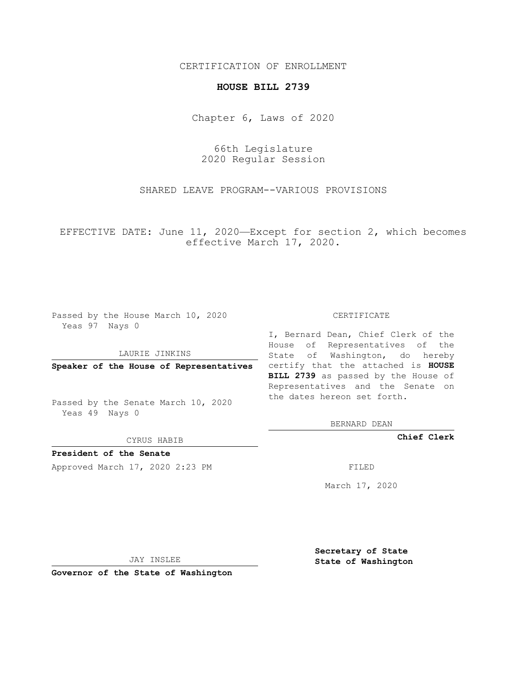## CERTIFICATION OF ENROLLMENT

## **HOUSE BILL 2739**

Chapter 6, Laws of 2020

66th Legislature 2020 Regular Session

SHARED LEAVE PROGRAM--VARIOUS PROVISIONS

EFFECTIVE DATE: June 11, 2020—Except for section 2, which becomes effective March 17, 2020.

Passed by the House March 10, 2020 Yeas 97 Nays 0

### LAURIE JINKINS

Passed by the Senate March 10, 2020 Yeas 49 Nays 0

CYRUS HABIB

**President of the Senate**

Approved March 17, 2020 2:23 PM FILED

#### CERTIFICATE

**Speaker of the House of Representatives** certify that the attached is **HOUSE** I, Bernard Dean, Chief Clerk of the House of Representatives of the State of Washington, do hereby **BILL 2739** as passed by the House of Representatives and the Senate on the dates hereon set forth.

BERNARD DEAN

**Chief Clerk**

March 17, 2020

JAY INSLEE

**Governor of the State of Washington**

**Secretary of State State of Washington**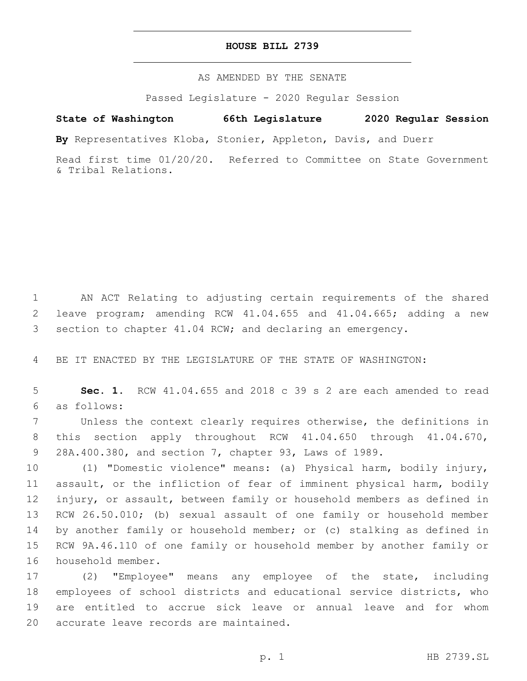## **HOUSE BILL 2739**

AS AMENDED BY THE SENATE

Passed Legislature - 2020 Regular Session

# **State of Washington 66th Legislature 2020 Regular Session**

**By** Representatives Kloba, Stonier, Appleton, Davis, and Duerr

Read first time 01/20/20. Referred to Committee on State Government & Tribal Relations.

 AN ACT Relating to adjusting certain requirements of the shared leave program; amending RCW 41.04.655 and 41.04.665; adding a new section to chapter 41.04 RCW; and declaring an emergency.

BE IT ENACTED BY THE LEGISLATURE OF THE STATE OF WASHINGTON:

 **Sec. 1.** RCW 41.04.655 and 2018 c 39 s 2 are each amended to read as follows:6

 Unless the context clearly requires otherwise, the definitions in this section apply throughout RCW 41.04.650 through 41.04.670, 28A.400.380, and section 7, chapter 93, Laws of 1989.

 (1) "Domestic violence" means: (a) Physical harm, bodily injury, assault, or the infliction of fear of imminent physical harm, bodily injury, or assault, between family or household members as defined in RCW 26.50.010; (b) sexual assault of one family or household member by another family or household member; or (c) stalking as defined in RCW 9A.46.110 of one family or household member by another family or 16 household member.

 (2) "Employee" means any employee of the state, including employees of school districts and educational service districts, who are entitled to accrue sick leave or annual leave and for whom 20 accurate leave records are maintained.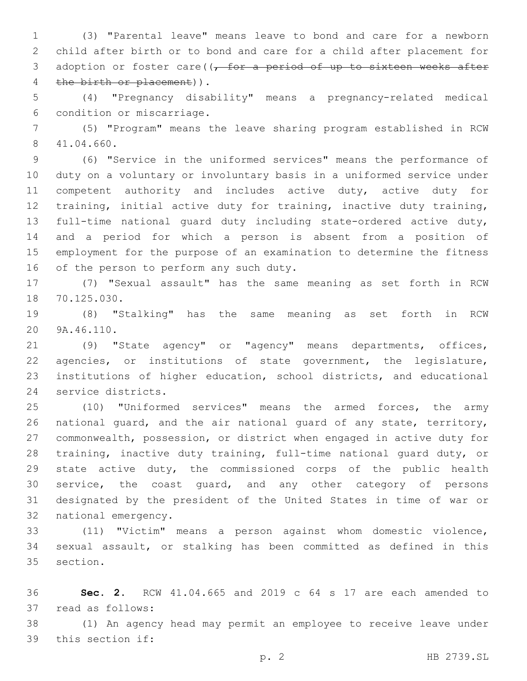(3) "Parental leave" means leave to bond and care for a newborn child after birth or to bond and care for a child after placement for 3 adoption or foster care( $\sqrt{f}$  for a period of up to sixteen weeks after 4 the birth or placement)).

 (4) "Pregnancy disability" means a pregnancy-related medical 6 condition or miscarriage.

 (5) "Program" means the leave sharing program established in RCW 41.04.660.8

 (6) "Service in the uniformed services" means the performance of duty on a voluntary or involuntary basis in a uniformed service under 11 competent authority and includes active duty, active duty for training, initial active duty for training, inactive duty training, full-time national guard duty including state-ordered active duty, and a period for which a person is absent from a position of employment for the purpose of an examination to determine the fitness 16 of the person to perform any such duty.

 (7) "Sexual assault" has the same meaning as set forth in RCW 18 70.125.030.

 (8) "Stalking" has the same meaning as set forth in RCW 20 9A.46.110.

 (9) "State agency" or "agency" means departments, offices, agencies, or institutions of state government, the legislature, institutions of higher education, school districts, and educational 24 service districts.

 (10) "Uniformed services" means the armed forces, the army national guard, and the air national guard of any state, territory, commonwealth, possession, or district when engaged in active duty for training, inactive duty training, full-time national guard duty, or state active duty, the commissioned corps of the public health service, the coast guard, and any other category of persons designated by the president of the United States in time of war or 32 national emergency.

 (11) "Victim" means a person against whom domestic violence, sexual assault, or stalking has been committed as defined in this 35 section.

 **Sec. 2.** RCW 41.04.665 and 2019 c 64 s 17 are each amended to 37 read as follows:

 (1) An agency head may permit an employee to receive leave under 39 this section if: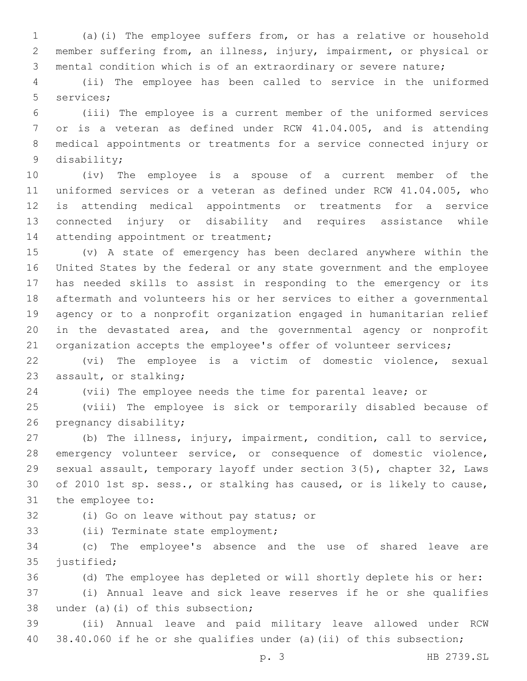(a)(i) The employee suffers from, or has a relative or household member suffering from, an illness, injury, impairment, or physical or mental condition which is of an extraordinary or severe nature;

 (ii) The employee has been called to service in the uniformed 5 services;

 (iii) The employee is a current member of the uniformed services or is a veteran as defined under RCW 41.04.005, and is attending medical appointments or treatments for a service connected injury or 9 disability;

 (iv) The employee is a spouse of a current member of the uniformed services or a veteran as defined under RCW 41.04.005, who is attending medical appointments or treatments for a service connected injury or disability and requires assistance while 14 attending appointment or treatment;

 (v) A state of emergency has been declared anywhere within the United States by the federal or any state government and the employee has needed skills to assist in responding to the emergency or its aftermath and volunteers his or her services to either a governmental agency or to a nonprofit organization engaged in humanitarian relief in the devastated area, and the governmental agency or nonprofit 21 organization accepts the employee's offer of volunteer services;

 (vi) The employee is a victim of domestic violence, sexual 23 assault, or stalking;

(vii) The employee needs the time for parental leave; or

 (viii) The employee is sick or temporarily disabled because of 26 pregnancy disability;

 (b) The illness, injury, impairment, condition, call to service, emergency volunteer service, or consequence of domestic violence, sexual assault, temporary layoff under section 3(5), chapter 32, Laws of 2010 1st sp. sess., or stalking has caused, or is likely to cause, 31 the employee to:

32 (i) Go on leave without pay status; or

33 (ii) Terminate state employment;

 (c) The employee's absence and the use of shared leave are 35 justified;

 (d) The employee has depleted or will shortly deplete his or her: (i) Annual leave and sick leave reserves if he or she qualifies 38 under (a)(i) of this subsection;

 (ii) Annual leave and paid military leave allowed under RCW 38.40.060 if he or she qualifies under (a)(ii) of this subsection;

p. 3 HB 2739.SL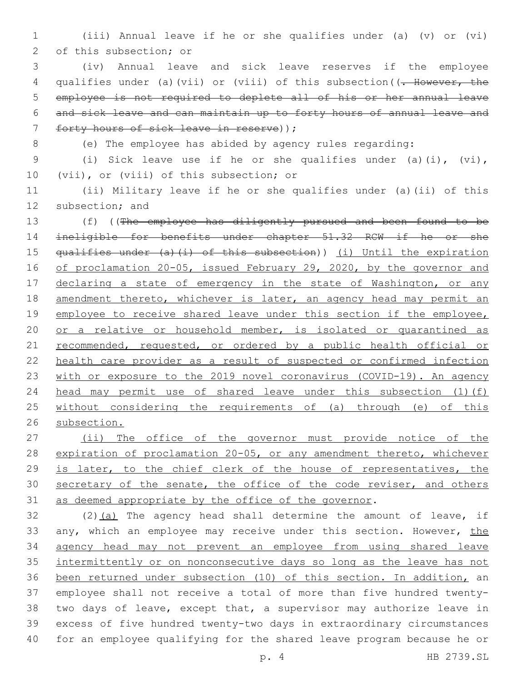1 (iii) Annual leave if he or she qualifies under (a) (v) or (vi) 2 of this subsection; or

3 (iv) Annual leave and sick leave reserves if the employee 4 qualifies under (a)(vii) or (viii) of this subsection((<del>. However, the</del> 5 employee is not required to deplete all of his or her annual leave 6 and sick leave and can maintain up to forty hours of annual leave and 7 forty hours of sick leave in reserve) );

8 (e) The employee has abided by agency rules regarding:

9 (i) Sick leave use if he or she qualifies under (a)(i), (vi), 10 (vii), or (viii) of this subsection; or

11 (ii) Military leave if he or she qualifies under (a)(ii) of this 12 subsection; and

13 (f) ((The employee has diligently pursued and been found to be 14 ineligible for benefits under chapter 51.32 RCW if he or she 15 qualifies under (a)(i) of this subsection)) (i) Until the expiration 16 of proclamation 20-05, issued February 29, 2020, by the governor and 17 declaring a state of emergency in the state of Washington, or any 18 amendment thereto, whichever is later, an agency head may permit an 19 employee to receive shared leave under this section if the employee, 20 or a relative or household member, is isolated or quarantined as 21 recommended, requested, or ordered by a public health official or 22 health care provider as a result of suspected or confirmed infection 23 with or exposure to the 2019 novel coronavirus (COVID-19). An agency 24 head may permit use of shared leave under this subsection (1)(f) 25 without considering the requirements of (a) through (e) of this 26 subsection.

- 27 (ii) The office of the governor must provide notice of the 28 expiration of proclamation 20-05, or any amendment thereto, whichever 29 is later, to the chief clerk of the house of representatives, the 30 secretary of the senate, the office of the code reviser, and others 31 as deemed appropriate by the office of the governor.
- 32 (2)(a) The agency head shall determine the amount of leave, if 33 any, which an employee may receive under this section. However, the 34 agency head may not prevent an employee from using shared leave 35 intermittently or on nonconsecutive days so long as the leave has not 36 been returned under subsection (10) of this section. In addition, an 37 employee shall not receive a total of more than five hundred twenty-38 two days of leave, except that, a supervisor may authorize leave in 39 excess of five hundred twenty-two days in extraordinary circumstances 40 for an employee qualifying for the shared leave program because he or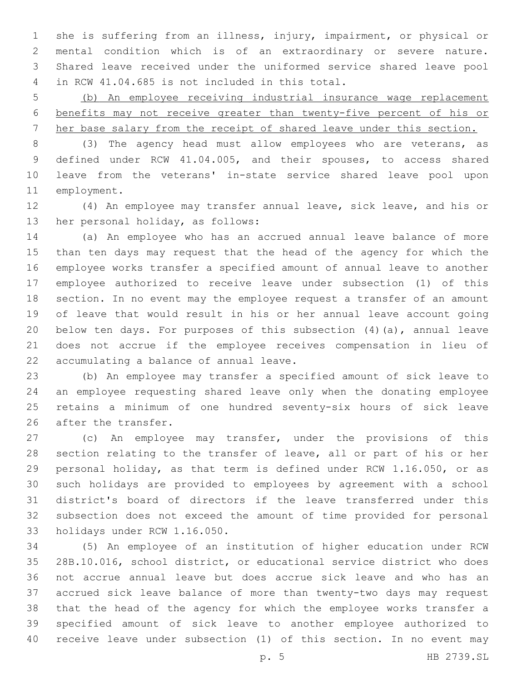she is suffering from an illness, injury, impairment, or physical or mental condition which is of an extraordinary or severe nature. Shared leave received under the uniformed service shared leave pool in RCW 41.04.685 is not included in this total.4

 (b) An employee receiving industrial insurance wage replacement benefits may not receive greater than twenty-five percent of his or her base salary from the receipt of shared leave under this section.

 (3) The agency head must allow employees who are veterans, as defined under RCW 41.04.005, and their spouses, to access shared leave from the veterans' in-state service shared leave pool upon 11 employment.

 (4) An employee may transfer annual leave, sick leave, and his or 13 her personal holiday, as follows:

 (a) An employee who has an accrued annual leave balance of more than ten days may request that the head of the agency for which the employee works transfer a specified amount of annual leave to another employee authorized to receive leave under subsection (1) of this section. In no event may the employee request a transfer of an amount of leave that would result in his or her annual leave account going below ten days. For purposes of this subsection (4)(a), annual leave does not accrue if the employee receives compensation in lieu of 22 accumulating a balance of annual leave.

 (b) An employee may transfer a specified amount of sick leave to an employee requesting shared leave only when the donating employee retains a minimum of one hundred seventy-six hours of sick leave 26 after the transfer.

 (c) An employee may transfer, under the provisions of this section relating to the transfer of leave, all or part of his or her personal holiday, as that term is defined under RCW 1.16.050, or as such holidays are provided to employees by agreement with a school district's board of directors if the leave transferred under this subsection does not exceed the amount of time provided for personal 33 holidays under RCW 1.16.050.

 (5) An employee of an institution of higher education under RCW 28B.10.016, school district, or educational service district who does not accrue annual leave but does accrue sick leave and who has an accrued sick leave balance of more than twenty-two days may request that the head of the agency for which the employee works transfer a specified amount of sick leave to another employee authorized to receive leave under subsection (1) of this section. In no event may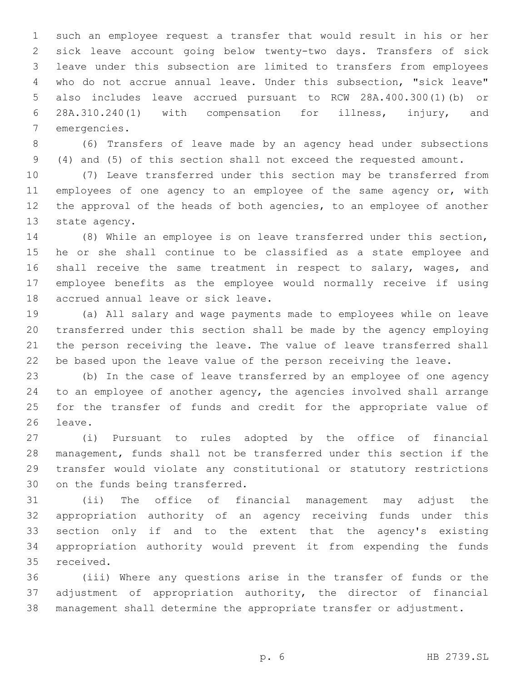such an employee request a transfer that would result in his or her sick leave account going below twenty-two days. Transfers of sick leave under this subsection are limited to transfers from employees who do not accrue annual leave. Under this subsection, "sick leave" also includes leave accrued pursuant to RCW 28A.400.300(1)(b) or 28A.310.240(1) with compensation for illness, injury, and 7 emergencies.

 (6) Transfers of leave made by an agency head under subsections (4) and (5) of this section shall not exceed the requested amount.

 (7) Leave transferred under this section may be transferred from 11 employees of one agency to an employee of the same agency or, with the approval of the heads of both agencies, to an employee of another 13 state agency.

 (8) While an employee is on leave transferred under this section, he or she shall continue to be classified as a state employee and 16 shall receive the same treatment in respect to salary, wages, and employee benefits as the employee would normally receive if using 18 accrued annual leave or sick leave.

 (a) All salary and wage payments made to employees while on leave transferred under this section shall be made by the agency employing the person receiving the leave. The value of leave transferred shall be based upon the leave value of the person receiving the leave.

 (b) In the case of leave transferred by an employee of one agency to an employee of another agency, the agencies involved shall arrange for the transfer of funds and credit for the appropriate value of 26 leave.

 (i) Pursuant to rules adopted by the office of financial management, funds shall not be transferred under this section if the transfer would violate any constitutional or statutory restrictions 30 on the funds being transferred.

 (ii) The office of financial management may adjust the appropriation authority of an agency receiving funds under this section only if and to the extent that the agency's existing appropriation authority would prevent it from expending the funds 35 received.

 (iii) Where any questions arise in the transfer of funds or the 37 adjustment of appropriation authority, the director of financial management shall determine the appropriate transfer or adjustment.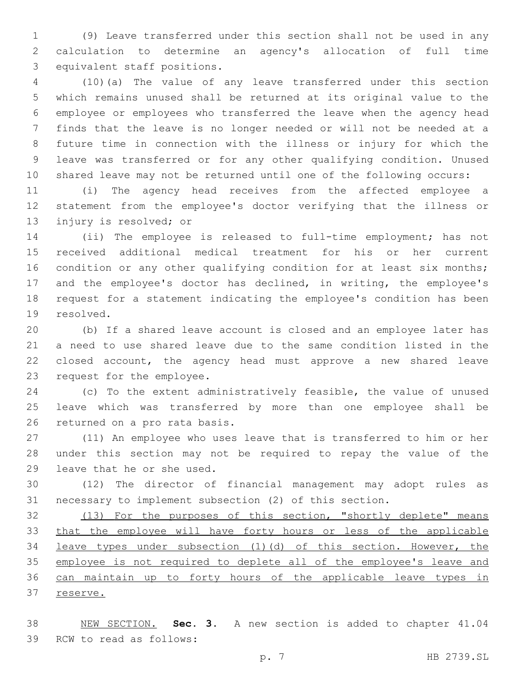(9) Leave transferred under this section shall not be used in any calculation to determine an agency's allocation of full time 3 equivalent staff positions.

 (10)(a) The value of any leave transferred under this section which remains unused shall be returned at its original value to the employee or employees who transferred the leave when the agency head finds that the leave is no longer needed or will not be needed at a future time in connection with the illness or injury for which the leave was transferred or for any other qualifying condition. Unused shared leave may not be returned until one of the following occurs:

 (i) The agency head receives from the affected employee a statement from the employee's doctor verifying that the illness or 13 injury is resolved; or

 (ii) The employee is released to full-time employment; has not received additional medical treatment for his or her current 16 condition or any other qualifying condition for at least six months; and the employee's doctor has declined, in writing, the employee's request for a statement indicating the employee's condition has been 19 resolved.

 (b) If a shared leave account is closed and an employee later has a need to use shared leave due to the same condition listed in the closed account, the agency head must approve a new shared leave 23 request for the employee.

 (c) To the extent administratively feasible, the value of unused leave which was transferred by more than one employee shall be 26 returned on a pro rata basis.

 (11) An employee who uses leave that is transferred to him or her under this section may not be required to repay the value of the 29 leave that he or she used.

 (12) The director of financial management may adopt rules as necessary to implement subsection (2) of this section.

 (13) For the purposes of this section, "shortly deplete" means that the employee will have forty hours or less of the applicable leave types under subsection (1)(d) of this section. However, the employee is not required to deplete all of the employee's leave and can maintain up to forty hours of the applicable leave types in 37 reserve.

 NEW SECTION. **Sec. 3.** A new section is added to chapter 41.04 39 RCW to read as follows: